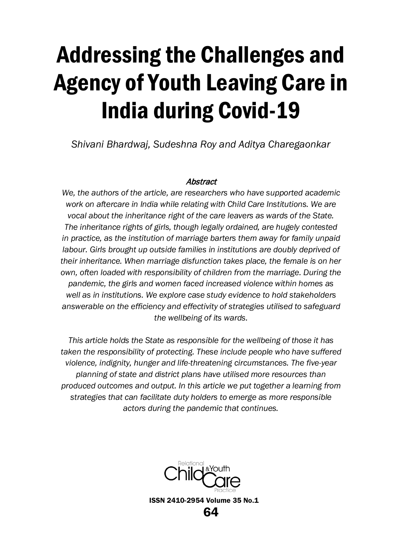# Addressing the Challenges and Agency of Youth Leaving Care in India during Covid-19

*Shivani Bhardwaj, Sudeshna Roy and Aditya Charegaonkar*

## Abstract

*We, the authors of the article, are researchers who have supported academic work on aftercare in India while relating with Child Care Institutions. We are vocal about the inheritance right of the care leavers as wards of the State. The inheritance rights of girls, though legally ordained, are hugely contested in practice, as the institution of marriage barters them away for family unpaid labour. Girls brought up outside families in institutions are doubly deprived of their inheritance. When marriage disfunction takes place, the female is on her own, often loaded with responsibility of children from the marriage. During the pandemic, the girls and women faced increased violence within homes as well as in institutions. We explore case study evidence to hold stakeholders answerable on the efficiency and effectivity of strategies utilised to safeguard the wellbeing of its wards.*

*This article holds the State as responsible for the wellbeing of those it has taken the responsibility of protecting. These include people who have suffered violence, indignity, hunger and life-threatening circumstances. The five-year planning of state and district plans have utilised more resources than produced outcomes and output. In this article we put together a learning from strategies that can facilitate duty holders to emerge as more responsible actors during the pandemic that continues.* 

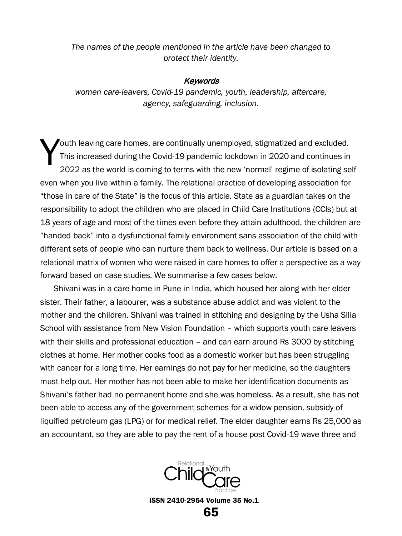*The names of the people mentioned in the article have been changed to protect their identity.*

#### **Keywords**

*women care-leavers, Covid-19 pandemic, youth, leadership, aftercare, agency, safeguarding, inclusion.*

outh leaving care homes, are continually unemployed, stigmatized and excluded. This increased during the Covid-19 pandemic lockdown in 2020 and continues in 2022 as the world is coming to terms with the new 'normal' regime of isolating self even when you live within a family. The relational practice of developing association for "those in care of the State" is the focus of this article. State as a guardian takes on the responsibility to adopt the children who are placed in Child Care Institutions (CCIs) but at 18 years of age and most of the times even before they attain adulthood, the children are "handed back" into a dysfunctional family environment sans association of the child with different sets of people who can nurture them back to wellness. Our article is based on a relational matrix of women who were raised in care homes to offer a perspective as a way forward based on case studies. We summarise a few cases below. Y

Shivani was in a care home in Pune in India, which housed her along with her elder sister. Their father, a labourer, was a substance abuse addict and was violent to the mother and the children. Shivani was trained in stitching and designing by the Usha Silia School with assistance from New Vision Foundation – which supports youth care leavers with their skills and professional education - and can earn around Rs 3000 by stitching clothes at home. Her mother cooks food as a domestic worker but has been struggling with cancer for a long time. Her earnings do not pay for her medicine, so the daughters must help out. Her mother has not been able to make her identification documents as Shivani's father had no permanent home and she was homeless. As a result, she has not been able to access any of the government schemes for a widow pension, subsidy of liquified petroleum gas (LPG) or for medical relief. The elder daughter earns Rs 25,000 as an accountant, so they are able to pay the rent of a house post Covid-19 wave three and

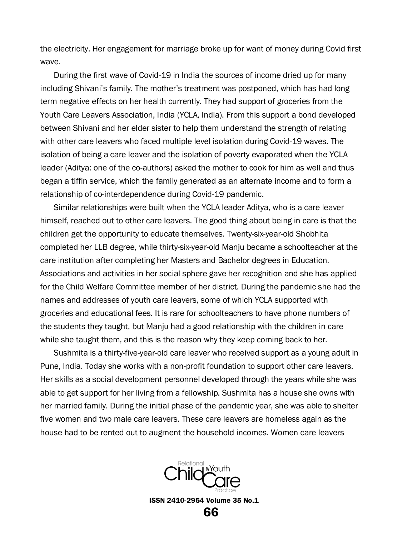the electricity. Her engagement for marriage broke up for want of money during Covid first wave.

During the first wave of Covid-19 in India the sources of income dried up for many including Shivani's family. The mother's treatment was postponed, which has had long term negative effects on her health currently. They had support of groceries from the Youth Care Leavers Association, India (YCLA, India). From this support a bond developed between Shivani and her elder sister to help them understand the strength of relating with other care leavers who faced multiple level isolation during Covid-19 waves. The isolation of being a care leaver and the isolation of poverty evaporated when the YCLA leader (Aditya: one of the co-authors) asked the mother to cook for him as well and thus began a tiffin service, which the family generated as an alternate income and to form a relationship of co-interdependence during Covid-19 pandemic.

Similar relationships were built when the YCLA leader Aditya, who is a care leaver himself, reached out to other care leavers. The good thing about being in care is that the children get the opportunity to educate themselves. Twenty-six-year-old Shobhita completed her LLB degree, while thirty-six-year-old Manju became a schoolteacher at the care institution after completing her Masters and Bachelor degrees in Education. Associations and activities in her social sphere gave her recognition and she has applied for the Child Welfare Committee member of her district. During the pandemic she had the names and addresses of youth care leavers, some of which YCLA supported with groceries and educational fees. It is rare for schoolteachers to have phone numbers of the students they taught, but Manju had a good relationship with the children in care while she taught them, and this is the reason why they keep coming back to her.

Sushmita is a thirty-five-year-old care leaver who received support as a young adult in Pune, India. Today she works with a non-profit foundation to support other care leavers. Her skills as a social development personnel developed through the years while she was able to get support for her living from a fellowship. Sushmita has a house she owns with her married family. During the initial phase of the pandemic year, she was able to shelter five women and two male care leavers. These care leavers are homeless again as the house had to be rented out to augment the household incomes. Women care leavers

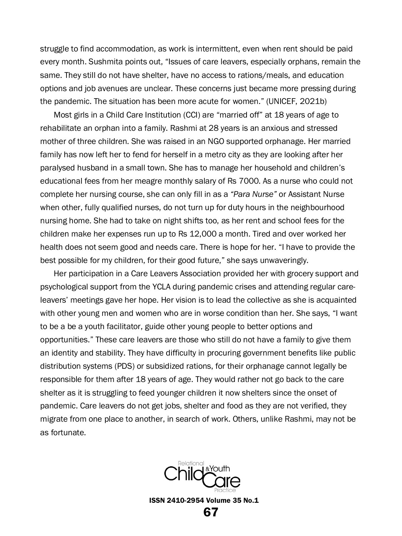struggle to find accommodation, as work is intermittent, even when rent should be paid every month. Sushmita points out, "Issues of care leavers, especially orphans, remain the same. They still do not have shelter, have no access to rations/meals, and education options and job avenues are unclear. These concerns just became more pressing during the pandemic. The situation has been more acute for women." (UNICEF, 2021b)

Most girls in a Child Care Institution (CCI) are "married off" at 18 years of age to rehabilitate an orphan into a family. Rashmi at 28 years is an anxious and stressed mother of three children. She was raised in an NGO supported orphanage. Her married family has now left her to fend for herself in a metro city as they are looking after her paralysed husband in a small town. She has to manage her household and children's educational fees from her meagre monthly salary of Rs 7000. As a nurse who could not complete her nursing course, she can only fill in as a *"Para Nurse"* or Assistant Nurse when other, fully qualified nurses, do not turn up for duty hours in the neighbourhood nursing home. She had to take on night shifts too, as her rent and school fees for the children make her expenses run up to Rs 12,000 a month. Tired and over worked her health does not seem good and needs care. There is hope for her. "I have to provide the best possible for my children, for their good future," she says unwaveringly.

Her participation in a Care Leavers Association provided her with grocery support and psychological support from the YCLA during pandemic crises and attending regular careleavers' meetings gave her hope. Her vision is to lead the collective as she is acquainted with other young men and women who are in worse condition than her. She says, "I want to be a be a youth facilitator, guide other young people to better options and opportunities." These care leavers are those who still do not have a family to give them an identity and stability. They have difficulty in procuring government benefits like public distribution systems (PDS) or subsidized rations, for their orphanage cannot legally be responsible for them after 18 years of age. They would rather not go back to the care shelter as it is struggling to feed younger children it now shelters since the onset of pandemic. Care leavers do not get jobs, shelter and food as they are not verified, they migrate from one place to another, in search of work. Others, unlike Rashmi, may not be as fortunate.

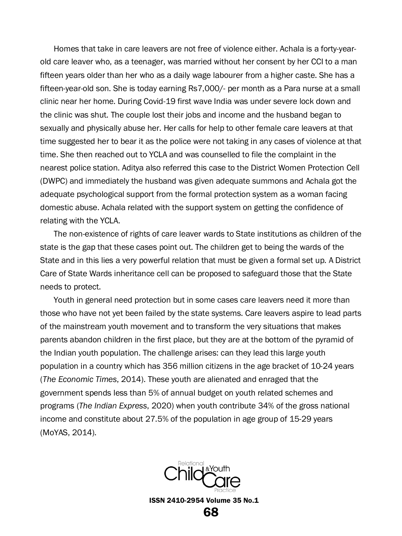Homes that take in care leavers are not free of violence either. Achala is a forty-yearold care leaver who, as a teenager, was married without her consent by her CCI to a man fifteen years older than her who as a daily wage labourer from a higher caste. She has a fifteen-year-old son. She is today earning Rs7,000/- per month as a Para nurse at a small clinic near her home. During Covid-19 first wave India was under severe lock down and the clinic was shut. The couple lost their jobs and income and the husband began to sexually and physically abuse her. Her calls for help to other female care leavers at that time suggested her to bear it as the police were not taking in any cases of violence at that time. She then reached out to YCLA and was counselled to file the complaint in the nearest police station. Aditya also referred this case to the District Women Protection Cell (DWPC) and immediately the husband was given adequate summons and Achala got the adequate psychological support from the formal protection system as a woman facing domestic abuse. Achala related with the support system on getting the confidence of relating with the YCLA.

The non-existence of rights of care leaver wards to State institutions as children of the state is the gap that these cases point out. The children get to being the wards of the State and in this lies a very powerful relation that must be given a formal set up. A District Care of State Wards inheritance cell can be proposed to safeguard those that the State needs to protect.

Youth in general need protection but in some cases care leavers need it more than those who have not yet been failed by the state systems. Care leavers aspire to lead parts of the mainstream youth movement and to transform the very situations that makes parents abandon children in the first place, but they are at the bottom of the pyramid of the Indian youth population. The challenge arises: can they lead this large youth population in a country which has 356 million citizens in the age bracket of 10-24 years (*The Economic Times*, 2014). These youth are alienated and enraged that the government spends less than 5% of annual budget on youth related schemes and programs (*The Indian Express*, 2020) when youth contribute 34% of the gross national income and constitute about 27.5% of the population in age group of 15-29 years (MoYAS, 2014).

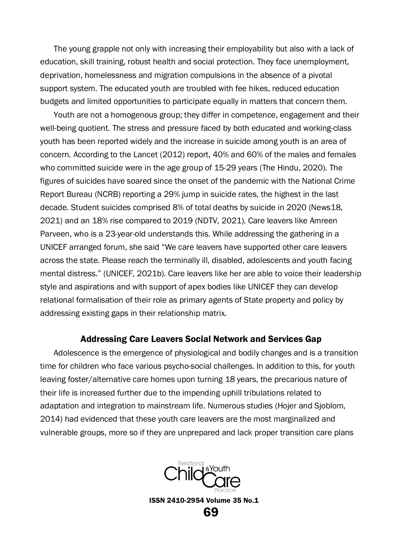The young grapple not only with increasing their employability but also with a lack of education, skill training, robust health and social protection. They face unemployment, deprivation, homelessness and migration compulsions in the absence of a pivotal support system. The educated youth are troubled with fee hikes, reduced education budgets and limited opportunities to participate equally in matters that concern them.

Youth are not a homogenous group; they differ in competence, engagement and their well-being quotient. The stress and pressure faced by both educated and working-class youth has been reported widely and the increase in suicide among youth is an area of concern. According to the Lancet (2012) report, 40% and 60% of the males and females who committed suicide were in the age group of 15-29 years (The Hindu, 2020). The figures of suicides have soared since the onset of the pandemic with the National Crime Report Bureau (NCRB) reporting a 29% jump in suicide rates, the highest in the last decade. Student suicides comprised 8% of total deaths by suicide in 2020 (News18, 2021) and an 18% rise compared to 2019 (NDTV, 2021). Care leavers like Amreen Parveen, who is a 23-year-old understands this. While addressing the gathering in a UNICEF arranged forum, she said "We care leavers have supported other care leavers across the state. Please reach the terminally ill, disabled, adolescents and youth facing mental distress." (UNICEF, 2021b). Care leavers like her are able to voice their leadership style and aspirations and with support of apex bodies like UNICEF they can develop relational formalisation of their role as primary agents of State property and policy by addressing existing gaps in their relationship matrix.

### Addressing Care Leavers Social Network and Services Gap

Adolescence is the emergence of physiological and bodily changes and is a transition time for children who face various psycho-social challenges. In addition to this, for youth leaving foster/alternative care homes upon turning 18 years, the precarious nature of their life is increased further due to the impending uphill tribulations related to adaptation and integration to mainstream life. Numerous studies (Hojer and Sjoblom, 2014) had evidenced that these youth care leavers are the most marginalized and vulnerable groups, more so if they are unprepared and lack proper transition care plans

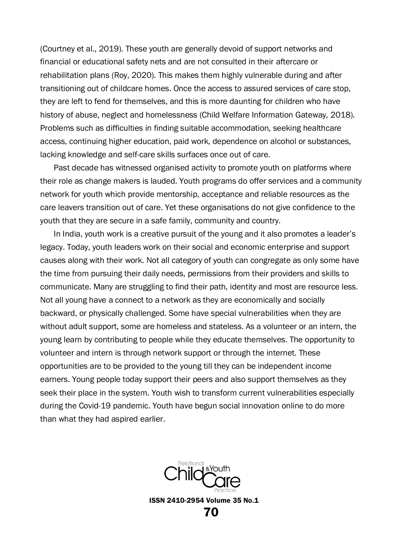(Courtney et al., 2019). These youth are generally devoid of support networks and financial or educational safety nets and are not consulted in their aftercare or rehabilitation plans (Roy, 2020). This makes them highly vulnerable during and after transitioning out of childcare homes. Once the access to assured services of care stop, they are left to fend for themselves, and this is more daunting for children who have history of abuse, neglect and homelessness (Child Welfare Information Gateway, 2018). Problems such as difficulties in finding suitable accommodation, seeking healthcare access, continuing higher education, paid work, dependence on alcohol or substances, lacking knowledge and self-care skills surfaces once out of care.

Past decade has witnessed organised activity to promote youth on platforms where their role as change makers is lauded. Youth programs do offer services and a community network for youth which provide mentorship, acceptance and reliable resources as the care leavers transition out of care. Yet these organisations do not give confidence to the youth that they are secure in a safe family, community and country.

In India, youth work is a creative pursuit of the young and it also promotes a leader's legacy. Today, youth leaders work on their social and economic enterprise and support causes along with their work. Not all category of youth can congregate as only some have the time from pursuing their daily needs, permissions from their providers and skills to communicate. Many are struggling to find their path, identity and most are resource less. Not all young have a connect to a network as they are economically and socially backward, or physically challenged. Some have special vulnerabilities when they are without adult support, some are homeless and stateless. As a volunteer or an intern, the young learn by contributing to people while they educate themselves. The opportunity to volunteer and intern is through network support or through the internet. These opportunities are to be provided to the young till they can be independent income earners. Young people today support their peers and also support themselves as they seek their place in the system. Youth wish to transform current vulnerabilities especially during the Covid-19 pandemic. Youth have begun social innovation online to do more than what they had aspired earlier.

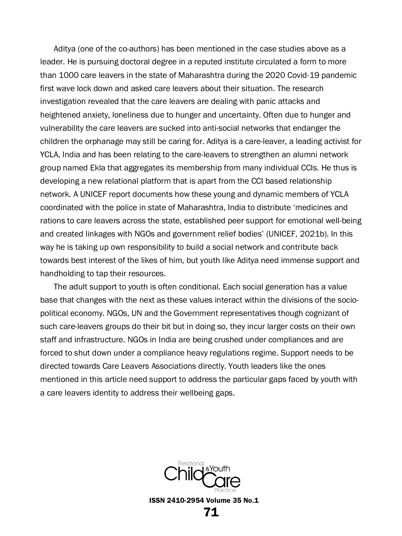Aditya (one of the co-authors) has been mentioned in the case studies above as a leader. He is pursuing doctoral degree in a reputed institute circulated a form to more than 1000 care leavers in the state of Maharashtra during the 2020 Covid-19 pandemic first wave lock down and asked care leavers about their situation. The research investigation revealed that the care leavers are dealing with panic attacks and heightened anxiety, loneliness due to hunger and uncertainty. Often due to hunger and vulnerability the care leavers are sucked into anti-social networks that endanger the children the orphanage may still be caring for. Aditya is a care-leaver, a leading activist for YCLA, India and has been relating to the care-leavers to strengthen an alumni network group named Ekla that aggregates its membership from many individual CCIs. He thus is developing a new relational platform that is apart from the CCI based relationship network. A UNICEF report documents how these young and dynamic members of YCLA coordinated with the police in state of Maharashtra, India to distribute 'medicines and rations to care leavers across the state, established peer support for emotional well-being and created linkages with NGOs and government relief bodies' (UNICEF, 2021b). In this way he is taking up own responsibility to build a social network and contribute back towards best interest of the likes of him, but youth like Aditya need immense support and handholding to tap their resources.

The adult support to youth is often conditional. Each social generation has a value base that changes with the next as these values interact within the divisions of the sociopolitical economy. NGOs, UN and the Government representatives though cognizant of such care-leavers groups do their bit but in doing so, they incur larger costs on their own staff and infrastructure. NGOs in India are being crushed under compliances and are forced to shut down under a compliance heavy regulations regime. Support needs to be directed towards Care Leavers Associations directly. Youth leaders like the ones mentioned in this article need support to address the particular gaps faced by youth with a care leavers identity to address their wellbeing gaps.

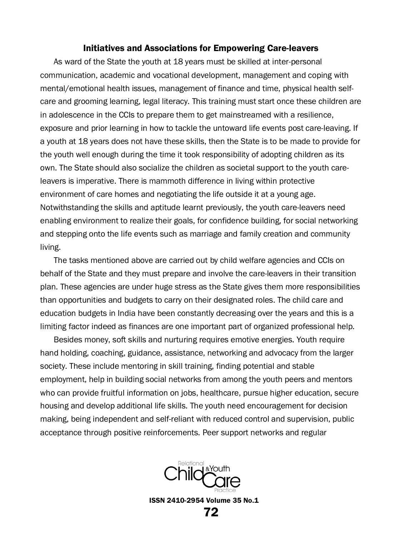#### Initiatives and Associations for Empowering Care-leavers

As ward of the State the youth at 18 years must be skilled at inter-personal communication, academic and vocational development, management and coping with mental/emotional health issues, management of finance and time, physical health selfcare and grooming learning, legal literacy. This training must start once these children are in adolescence in the CCIs to prepare them to get mainstreamed with a resilience, exposure and prior learning in how to tackle the untoward life events post care-leaving. If a youth at 18 years does not have these skills, then the State is to be made to provide for the youth well enough during the time it took responsibility of adopting children as its own. The State should also socialize the children as societal support to the youth careleavers is imperative. There is mammoth difference in living within protective environment of care homes and negotiating the life outside it at a young age. Notwithstanding the skills and aptitude learnt previously, the youth care-leavers need enabling environment to realize their goals, for confidence building, for social networking and stepping onto the life events such as marriage and family creation and community living.

The tasks mentioned above are carried out by child welfare agencies and CCIs on behalf of the State and they must prepare and involve the care-leavers in their transition plan. These agencies are under huge stress as the State gives them more responsibilities than opportunities and budgets to carry on their designated roles. The child care and education budgets in India have been constantly decreasing over the years and this is a limiting factor indeed as finances are one important part of organized professional help.

Besides money, soft skills and nurturing requires emotive energies. Youth require hand holding, coaching, guidance, assistance, networking and advocacy from the larger society. These include mentoring in skill training, finding potential and stable employment, help in building social networks from among the youth peers and mentors who can provide fruitful information on jobs, healthcare, pursue higher education, secure housing and develop additional life skills. The youth need encouragement for decision making, being independent and self-reliant with reduced control and supervision, public acceptance through positive reinforcements. Peer support networks and regular

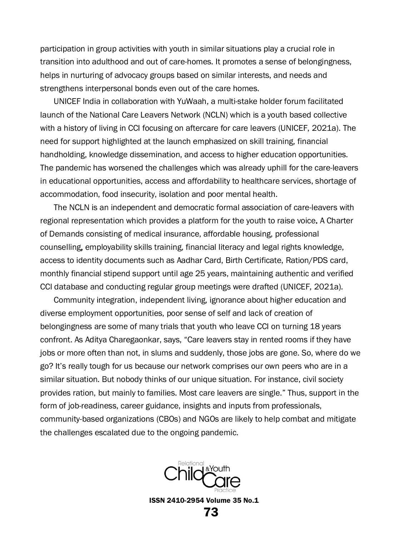participation in group activities with youth in similar situations play a crucial role in transition into adulthood and out of care-homes. It promotes a sense of belongingness, helps in nurturing of advocacy groups based on similar interests, and needs and strengthens interpersonal bonds even out of the care homes.

UNICEF India in collaboration with YuWaah, a multi-stake holder forum facilitated launch of the National Care Leavers Network (NCLN) which is a youth based collective with a history of living in CCI focusing on aftercare for care leavers (UNICEF, 2021a). The need for support highlighted at the launch emphasized on skill training, financial handholding, knowledge dissemination, and access to higher education opportunities. The pandemic has worsened the challenges which was already uphill for the care-leavers in educational opportunities, access and affordability to healthcare services, shortage of accommodation, food insecurity, isolation and poor mental health.

The NCLN is an independent and democratic formal association of care-leavers with regional representation which provides a platform for the youth to raise voice. A Charter of Demands consisting of medical insurance, affordable housing, professional counselling, employability skills training, financial literacy and legal rights knowledge, access to identity documents such as Aadhar Card, Birth Certificate, Ration/PDS card, monthly financial stipend support until age 25 years, maintaining authentic and verified CCI database and conducting regular group meetings were drafted (UNICEF, 2021a).

Community integration, independent living, ignorance about higher education and diverse employment opportunities, poor sense of self and lack of creation of belongingness are some of many trials that youth who leave CCI on turning 18 years confront. As Aditya Charegaonkar, says, "Care leavers stay in rented rooms if they have jobs or more often than not, in slums and suddenly, those jobs are gone. So, where do we go? It's really tough for us because our network comprises our own peers who are in a similar situation. But nobody thinks of our unique situation. For instance, civil society provides ration, but mainly to families. Most care leavers are single." Thus, support in the form of job-readiness, career guidance, insights and inputs from professionals, community-based organizations (CBOs) and NGOs are likely to help combat and mitigate the challenges escalated due to the ongoing pandemic.

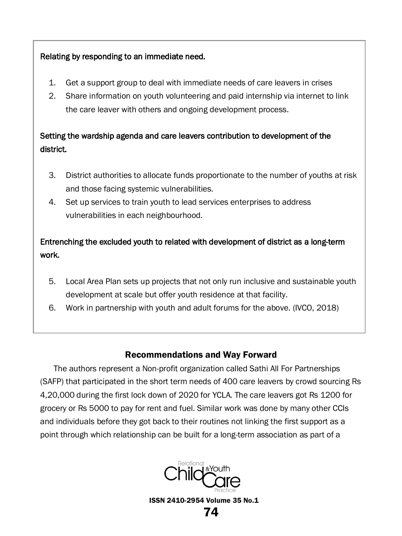## Relating by responding to an immediate need.

- 1. Get a support group to deal with immediate needs of care leavers in crises
- 2. Share information on youth volunteering and paid internship via internet to link the care leaver with others and ongoing development process.

# Setting the wardship agenda and care leavers contribution to development of the district.

- 3. District authorities to allocate funds proportionate to the number of youths at risk and those facing systemic vulnerabilities.
- 4. Set up services to train youth to lead services enterprises to address vulnerabilities in each neighbourhood.

# Entrenching the excluded youth to related with development of district as a long-term work.

- 5. Local Area Plan sets up projects that not only run inclusive and sustainable youth development at scale but offer youth residence at that facility.
- 6. Work in partnership with youth and adult forums for the above. (IVCO, 2018)

## Recommendations and Way Forward

The authors represent a Non-profit organization called Sathi All For Partnerships (SAFP) that participated in the short term needs of 400 care leavers by crowd sourcing Rs 4,20,000 during the first lock down of 2020 for YCLA. The care leavers got Rs 1200 for grocery or Rs 5000 to pay for rent and fuel. Similar work was done by many other CCIs and individuals before they got back to their routines not linking the first support as a point through which relationship can be built for a long-term association as part of a

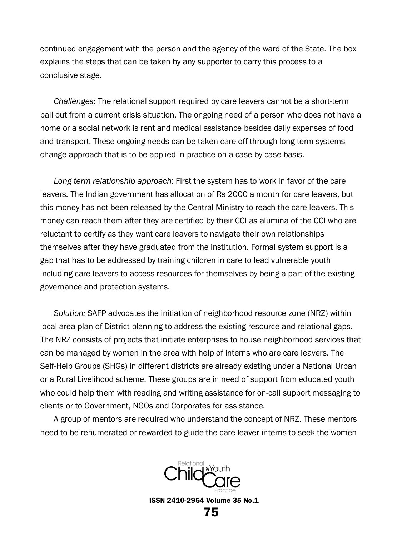continued engagement with the person and the agency of the ward of the State. The box explains the steps that can be taken by any supporter to carry this process to a conclusive stage.

*Challenges:* The relational support required by care leavers cannot be a short-term bail out from a current crisis situation. The ongoing need of a person who does not have a home or a social network is rent and medical assistance besides daily expenses of food and transport. These ongoing needs can be taken care off through long term systems change approach that is to be applied in practice on a case-by-case basis.

*Long term relationship approach*: First the system has to work in favor of the care leavers. The Indian government has allocation of Rs 2000 a month for care leavers, but this money has not been released by the Central Ministry to reach the care leavers. This money can reach them after they are certified by their CCI as alumina of the CCI who are reluctant to certify as they want care leavers to navigate their own relationships themselves after they have graduated from the institution. Formal system support is a gap that has to be addressed by training children in care to lead vulnerable youth including care leavers to access resources for themselves by being a part of the existing governance and protection systems.

*Solution:* SAFP advocates the initiation of neighborhood resource zone (NRZ) within local area plan of District planning to address the existing resource and relational gaps. The NRZ consists of projects that initiate enterprises to house neighborhood services that can be managed by women in the area with help of interns who are care leavers. The Self-Help Groups (SHGs) in different districts are already existing under a National Urban or a Rural Livelihood scheme. These groups are in need of support from educated youth who could help them with reading and writing assistance for on-call support messaging to clients or to Government, NGOs and Corporates for assistance.

A group of mentors are required who understand the concept of NRZ. These mentors need to be renumerated or rewarded to guide the care leaver interns to seek the women

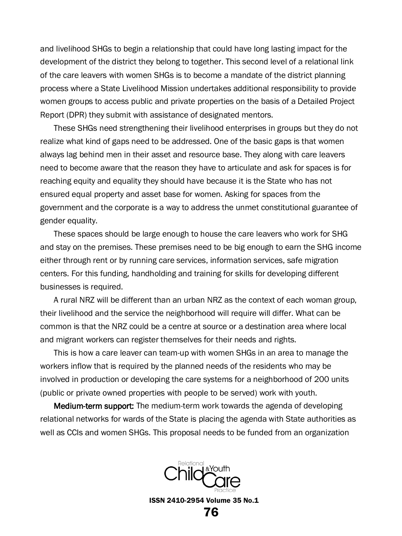and livelihood SHGs to begin a relationship that could have long lasting impact for the development of the district they belong to together. This second level of a relational link of the care leavers with women SHGs is to become a mandate of the district planning process where a State Livelihood Mission undertakes additional responsibility to provide women groups to access public and private properties on the basis of a Detailed Project Report (DPR) they submit with assistance of designated mentors.

These SHGs need strengthening their livelihood enterprises in groups but they do not realize what kind of gaps need to be addressed. One of the basic gaps is that women always lag behind men in their asset and resource base. They along with care leavers need to become aware that the reason they have to articulate and ask for spaces is for reaching equity and equality they should have because it is the State who has not ensured equal property and asset base for women. Asking for spaces from the government and the corporate is a way to address the unmet constitutional guarantee of gender equality.

These spaces should be large enough to house the care leavers who work for SHG and stay on the premises. These premises need to be big enough to earn the SHG income either through rent or by running care services, information services, safe migration centers. For this funding, handholding and training for skills for developing different businesses is required.

A rural NRZ will be different than an urban NRZ as the context of each woman group, their livelihood and the service the neighborhood will require will differ. What can be common is that the NRZ could be a centre at source or a destination area where local and migrant workers can register themselves for their needs and rights.

This is how a care leaver can team-up with women SHGs in an area to manage the workers inflow that is required by the planned needs of the residents who may be involved in production or developing the care systems for a neighborhood of 200 units (public or private owned properties with people to be served) work with youth.

**Medium-term support:** The medium-term work towards the agenda of developing relational networks for wards of the State is placing the agenda with State authorities as well as CCIs and women SHGs. This proposal needs to be funded from an organization

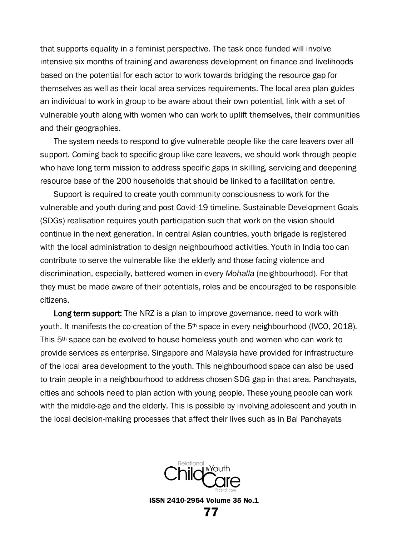that supports equality in a feminist perspective. The task once funded will involve intensive six months of training and awareness development on finance and livelihoods based on the potential for each actor to work towards bridging the resource gap for themselves as well as their local area services requirements. The local area plan guides an individual to work in group to be aware about their own potential, link with a set of vulnerable youth along with women who can work to uplift themselves, their communities and their geographies.

The system needs to respond to give vulnerable people like the care leavers over all support. Coming back to specific group like care leavers, we should work through people who have long term mission to address specific gaps in skilling, servicing and deepening resource base of the 200 households that should be linked to a facilitation centre.

Support is required to create youth community consciousness to work for the vulnerable and youth during and post Covid-19 timeline. Sustainable Development Goals (SDGs) realisation requires youth participation such that work on the vision should continue in the next generation. In central Asian countries, youth brigade is registered with the local administration to design neighbourhood activities. Youth in India too can contribute to serve the vulnerable like the elderly and those facing violence and discrimination, especially, battered women in every *Mohalla* (neighbourhood). For that they must be made aware of their potentials, roles and be encouraged to be responsible citizens.

**Long term support:** The NRZ is a plan to improve governance, need to work with youth. It manifests the co-creation of the 5<sup>th</sup> space in every neighbourhood (IVCO, 2018). This 5th space can be evolved to house homeless youth and women who can work to provide services as enterprise. Singapore and Malaysia have provided for infrastructure of the local area development to the youth. This neighbourhood space can also be used to train people in a neighbourhood to address chosen SDG gap in that area. Panchayats, cities and schools need to plan action with young people. These young people can work with the middle-age and the elderly. This is possible by involving adolescent and youth in the local decision-making processes that affect their lives such as in Bal Panchayats

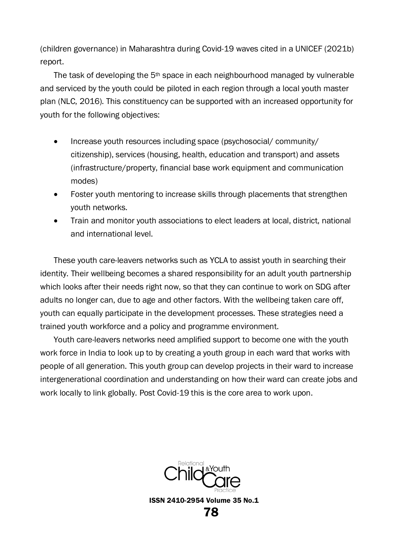(children governance) in Maharashtra during Covid-19 waves cited in a UNICEF (2021b) report.

The task of developing the  $5<sup>th</sup>$  space in each neighbourhood managed by vulnerable and serviced by the youth could be piloted in each region through a local youth master plan (NLC, 2016). This constituency can be supported with an increased opportunity for youth for the following objectives:

- Increase youth resources including space (psychosocial/ community/ citizenship), services (housing, health, education and transport) and assets (infrastructure/property, financial base work equipment and communication modes)
- Foster youth mentoring to increase skills through placements that strengthen youth networks.
- Train and monitor youth associations to elect leaders at local, district, national and international level.

These youth care-leavers networks such as YCLA to assist youth in searching their identity. Their wellbeing becomes a shared responsibility for an adult youth partnership which looks after their needs right now, so that they can continue to work on SDG after adults no longer can, due to age and other factors. With the wellbeing taken care off, youth can equally participate in the development processes. These strategies need a trained youth workforce and a policy and programme environment.

Youth care-leavers networks need amplified support to become one with the youth work force in India to look up to by creating a youth group in each ward that works with people of all generation. This youth group can develop projects in their ward to increase intergenerational coordination and understanding on how their ward can create jobs and work locally to link globally. Post Covid-19 this is the core area to work upon.

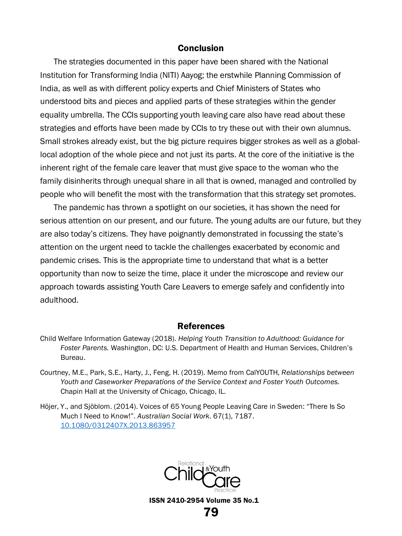### Conclusion

The strategies documented in this paper have been shared with the National Institution for Transforming India (NITI) Aayog; the erstwhile Planning Commission of India, as well as with different policy experts and Chief Ministers of States who understood bits and pieces and applied parts of these strategies within the gender equality umbrella. The CCIs supporting youth leaving care also have read about these strategies and efforts have been made by CCIs to try these out with their own alumnus. Small strokes already exist, but the big picture requires bigger strokes as well as a globallocal adoption of the whole piece and not just its parts. At the core of the initiative is the inherent right of the female care leaver that must give space to the woman who the family disinherits through unequal share in all that is owned, managed and controlled by people who will benefit the most with the transformation that this strategy set promotes.

The pandemic has thrown a spotlight on our societies, it has shown the need for serious attention on our present, and our future. The young adults are our future, but they are also today's citizens. They have poignantly demonstrated in focussing the state's attention on the urgent need to tackle the challenges exacerbated by economic and pandemic crises. This is the appropriate time to understand that what is a better opportunity than now to seize the time, place it under the microscope and review our approach towards assisting Youth Care Leavers to emerge safely and confidently into adulthood.

#### References

- Child Welfare Information Gateway (2018). *Helping Youth Transition to Adulthood: Guidance for Foster Parents.* Washington, DC: U.S. Department of Health and Human Services, Children's Bureau.
- Courtney, M.E., Park, S.E., Harty, J., Feng, H. (2019). Memo from CalYOUTH, *Relationships between Youth and Caseworker Preparations of the Service Context and Foster Youth Outcomes.* Chapin Hall at the University of Chicago, Chicago, IL.
- Höjer, Y., and Sjöblom. (2014). Voices of 65 Young People Leaving Care in Sweden: "There Is So Much I Need to Know!". *Australian Social Work*. 67(1), 7187. [10.1080/0312407X.2013.863957](https://doi.org/10.1080/0312407X.2013.863957)

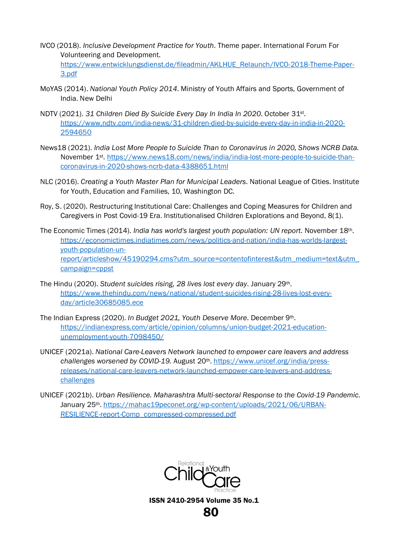- IVCO (2018). *Inclusive Development Practice for Youth*. Theme paper. International Forum For Volunteering and Development. [https://www.entwicklungsdienst.de/fileadmin/AKLHUE\\_Relaunch/IVCO-2018-Theme-Paper-](https://www.entwicklungsdienst.de/fileadmin/AKLHUE_Relaunch/IVCO-2018-Theme-Paper-3.pdf)[3.pdf](https://www.entwicklungsdienst.de/fileadmin/AKLHUE_Relaunch/IVCO-2018-Theme-Paper-3.pdf)
- MoYAS (2014). *National Youth Policy 2014*. Ministry of Youth Affairs and Sports, Government of India. New Delhi
- NDTV (2021). *31 Children Died By Suicide Every Day In India In 2020*. October 31st. [https://www.ndtv.com/india-news/31-children-died-by-suicide-every-day-in-india-in-2020-](https://www.ndtv.com/india-news/31-children-died-by-suicide-every-day-in-india-in-2020-2594650) [2594650](https://www.ndtv.com/india-news/31-children-died-by-suicide-every-day-in-india-in-2020-2594650)
- News18 (2021). *India Lost More People to Suicide Than to Coronavirus in 2020, Shows NCRB Data.* November 1st[. https://www.news18.com/news/india/india-lost-more-people-to-suicide-than](https://www.news18.com/news/india/india-lost-more-people-to-suicide-than-coronavirus-in-2020-shows-ncrb-data-4388651.html)[coronavirus-in-2020-shows-ncrb-data-4388651.html](https://www.news18.com/news/india/india-lost-more-people-to-suicide-than-coronavirus-in-2020-shows-ncrb-data-4388651.html)
- NLC (2016). *Creating a Youth Master Plan for Municipal Leaders*. National League of Cities. Institute for Youth, Education and Families, 10, Washington DC.
- Roy, S. (2020). Restructuring Institutional Care: Challenges and Coping Measures for Children and Caregivers in Post Covid-19 Era. Institutionalised Children Explorations and Beyond, 8(1).
- The Economic Times (2014). *India has world's largest youth population: UN report*. November 18th. [https://economictimes.indiatimes.com/news/politics-and-nation/india-has-worlds-largest](https://economictimes.indiatimes.com/news/politics-and-nation/india-has-worlds-largest-youth-population-un-report/articleshow/45190294.cms?utm_source=contentofinterest&utm_medium=text&utm_campaign=cppst)[youth-population-un](https://economictimes.indiatimes.com/news/politics-and-nation/india-has-worlds-largest-youth-population-un-report/articleshow/45190294.cms?utm_source=contentofinterest&utm_medium=text&utm_campaign=cppst)[report/articleshow/45190294.cms?utm\\_source=contentofinterest&utm\\_medium=text&utm\\_](https://economictimes.indiatimes.com/news/politics-and-nation/india-has-worlds-largest-youth-population-un-report/articleshow/45190294.cms?utm_source=contentofinterest&utm_medium=text&utm_campaign=cppst) [campaign=cppst](https://economictimes.indiatimes.com/news/politics-and-nation/india-has-worlds-largest-youth-population-un-report/articleshow/45190294.cms?utm_source=contentofinterest&utm_medium=text&utm_campaign=cppst)
- The Hindu (2020). *Student suicides rising, 28 lives lost every day*. January 29th. [https://www.thehindu.com/news/national/student-suicides-rising-28-lives-lost-every](https://www.thehindu.com/news/national/student-suicides-rising-28-lives-lost-every-day/article30685085.ece)[day/article30685085.ece](https://www.thehindu.com/news/national/student-suicides-rising-28-lives-lost-every-day/article30685085.ece)
- The Indian Express (2020). *In Budget 2021, Youth Deserve More*. December 9th. [https://indianexpress.com/article/opinion/columns/union-budget-2021-education](https://indianexpress.com/article/opinion/columns/union-budget-2021-education-unemployment-youth-7098450/)[unemployment-youth-7098450/](https://indianexpress.com/article/opinion/columns/union-budget-2021-education-unemployment-youth-7098450/)
- UNICEF (2021a). *National Care-Leavers Network launched to empower care leavers and address challenges worsened by COVID-19.* August 20th[. https://www.unicef.org/india/press](https://www.unicef.org/india/press-releases/national-care-leavers-network-launched-empower-care-leavers-and-address-challenges)[releases/national-care-leavers-network-launched-empower-care-leavers-and-address](https://www.unicef.org/india/press-releases/national-care-leavers-network-launched-empower-care-leavers-and-address-challenges)[challenges](https://www.unicef.org/india/press-releases/national-care-leavers-network-launched-empower-care-leavers-and-address-challenges)
- UNICEF (2021b). *Urban Resilience. Maharashtra Multi-sectoral Response to the Covid-19 Pandemic.* January 25th. [https://mahac19peconet.org/wp-content/uploads/2021/06/URBAN-](https://mahac19peconet.org/wp-content/uploads/2021/06/URBAN-RESILIENCE-report-Comp_compressed-compressed.pdf)[RESILIENCE-report-Comp\\_compressed-compressed.pdf](https://mahac19peconet.org/wp-content/uploads/2021/06/URBAN-RESILIENCE-report-Comp_compressed-compressed.pdf)